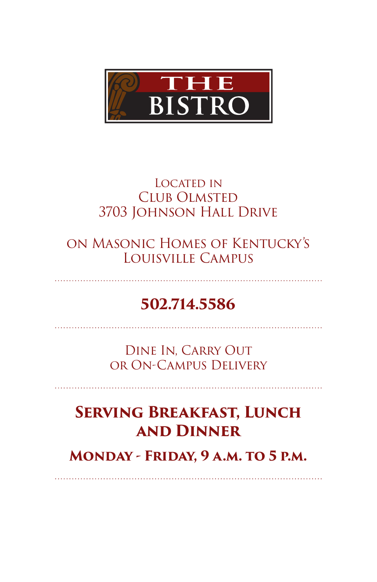

#### Located in Club Olmsted 3703 Johnson Hall Drive

on Masonic Homes of Kentucky's Louisville Campus

# **502.714.5586**

. . . . . . . . . . . . . . .

Dine In, Carry Out or On-Campus Delivery

## **Serving Breakfast, Lunch and Dinner**

**Monday - Friday, 9 a.m. to 5 p.m.**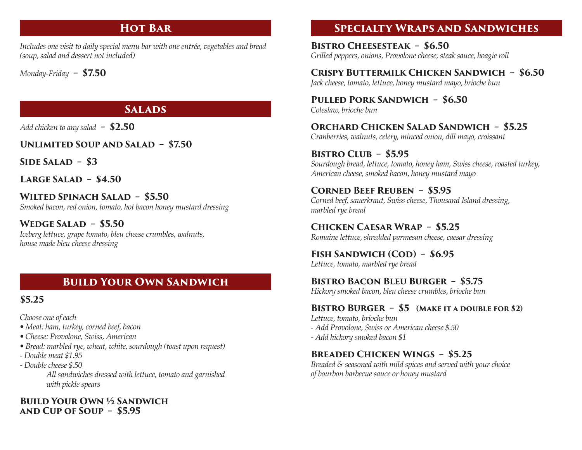# **HOT BAR**

*Includes one visit to daily special menu bar with one entrée, vegetables and bread (soup, salad and dessert not included)*

*Monday-Friday* **– \$7.50**

### **Salads**

*Add chicken to any salad* **– \$2.50** 

**Unlimited Soup and Salad – \$7.50**

**Side Salad – \$3**

**Large Salad – \$4.50**

**Wilted Spinach Salad – \$5.50**  *Smoked bacon, red onion, tomato, hot bacon honey mustard dressing*

**Wedge Salad – \$5.50** *Iceberg lettuce, grape tomato, bleu cheese crumbles, walnuts, house made bleu cheese dressing*

# **Build Your Own Sandwich**

## **\$5.25**

*Choose one of each* 

- *Meat: ham, turkey, corned beef, bacon*
- *Cheese: Provolone, Swiss, American*
- *Bread: marbled rye, wheat, white, sourdough (toast upon request)*
- *Double meat \$1.95*
- *Double cheese \$.50*

 *All sandwiches dressed with lettuce, tomato and garnished with pickle spears* 

#### **Build Your Own ½ Sandwich and Cup of Soup – \$5.95**

## **Specialty Wraps and Sandwiches**

**Bistro Cheesesteak – \$6.50**  *Grilled peppers, onions, Provolone cheese, steak sauce, hoagie roll* 

## **Crispy Buttermilk Chicken Sandwich – \$6.50**

*Jack cheese, tomato, lettuce, honey mustard mayo, brioche bun*

**Pulled Pork Sandwich – \$6.50**  *Coleslaw, brioche bun*

**Orchard Chicken Salad Sandwich – \$5.25** *Cranberries, walnuts, celery, minced onion, dill mayo, croissant*

**Bistro Club – \$5.95** *Sourdough bread, lettuce, tomato, honey ham, Swiss cheese, roasted turkey, American cheese, smoked bacon, honey mustard mayo*

#### **Corned Beef Reuben – \$5.95**

*Corned beef, sauerkraut, Swiss cheese, Thousand Island dressing, marbled rye bread*

**Chicken Caesar Wrap – \$5.25**  *Romaine lettuce, shredded parmesan cheese, caesar dressing*

FISH SANDWICH (COD) - \$6.95 *Lettuce, tomato, marbled rye bread*

### **Bistro Bacon Bleu Burger – \$5.75**

*Hickory smoked bacon, bleu cheese crumbles, brioche bun*

### **Bistro Burger – \$5 (Make it a double for \$2)**

*Lettuce, tomato, brioche bun - Add Provolone, Swiss or American cheese \$.50 - Add hickory smoked bacon \$1*

### **Breaded Chicken Wings – \$5.25**

*Breaded & seasoned with mild spices and served with your choice of bourbon barbecue sauce or honey mustard*